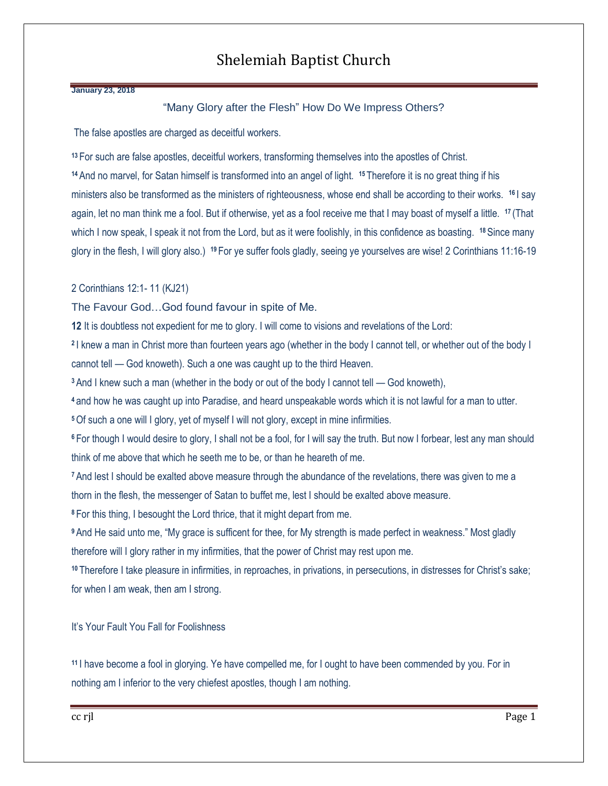## Shelemiah Baptist Church

#### **January 23, 2018**

#### "Many Glory after the Flesh" How Do We Impress Others?

The false apostles are charged as deceitful workers.

**<sup>13</sup>** For such are false apostles, deceitful workers, transforming themselves into the apostles of Christ. **<sup>14</sup>** And no marvel, for Satan himself is transformed into an angel of light. **<sup>15</sup>** Therefore it is no great thing if his ministers also be transformed as the ministers of righteousness, whose end shall be according to their works. **<sup>16</sup>** I say again, let no man think me a fool. But if otherwise, yet as a fool receive me that I may boast of myself a little. **<sup>17</sup>** (That which I now speak, I speak it not from the Lord, but as it were foolishly, in this confidence as boasting. **<sup>18</sup>**Since many glory in the flesh, I will glory also.) **<sup>19</sup>** For ye suffer fools gladly, seeing ye yourselves are wise! 2 Corinthians 11:16-19

#### 2 Corinthians 12:1- 11 (KJ21)

The Favour God…God found favour in spite of Me.

**12** It is doubtless not expedient for me to glory. I will come to visions and revelations of the Lord:

**2** I knew a man in Christ more than fourteen years ago (whether in the body I cannot tell, or whether out of the body I cannot tell — God knoweth). Such a one was caught up to the third Heaven.

**<sup>3</sup>**And I knew such a man (whether in the body or out of the body I cannot tell — God knoweth),

**<sup>4</sup>** and how he was caught up into Paradise, and heard unspeakable words which it is not lawful for a man to utter.

**<sup>5</sup>**Of such a one will I glory, yet of myself I will not glory, except in mine infirmities.

**<sup>6</sup>** For though I would desire to glory, I shall not be a fool, for I will say the truth. But now I forbear, lest any man should think of me above that which he seeth me to be, or than he heareth of me.

**<sup>7</sup>**And lest I should be exalted above measure through the abundance of the revelations, there was given to me a thorn in the flesh, the messenger of Satan to buffet me, lest I should be exalted above measure.

**<sup>8</sup>** For this thing, I besought the Lord thrice, that it might depart from me.

**<sup>9</sup>**And He said unto me, "My grace is sufficent for thee, for My strength is made perfect in weakness." Most gladly therefore will I glory rather in my infirmities, that the power of Christ may rest upon me.

**<sup>10</sup>** Therefore I take pleasure in infirmities, in reproaches, in privations, in persecutions, in distresses for Christ's sake; for when I am weak, then am I strong.

It's Your Fault You Fall for Foolishness

**<sup>11</sup>** I have become a fool in glorying. Ye have compelled me, for I ought to have been commended by you. For in nothing am I inferior to the very chiefest apostles, though I am nothing.